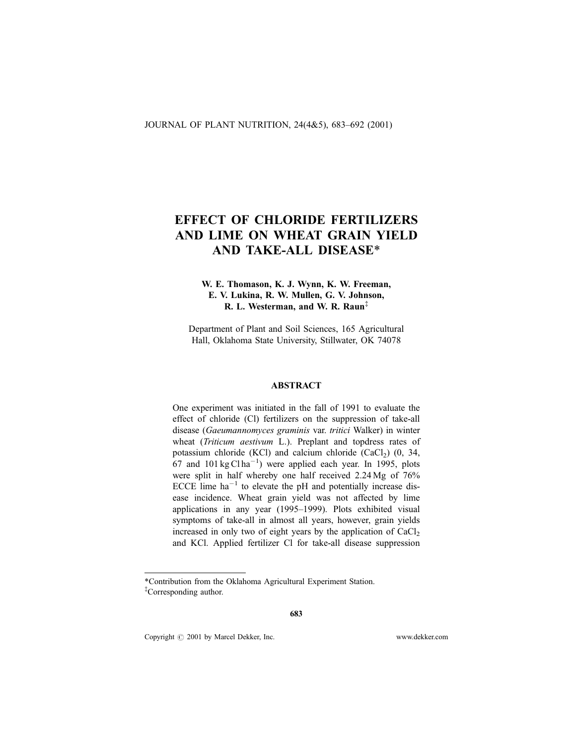# EFFECT OF CHLORIDE FERTILIZERS AND LIME ON WHEAT GRAIN YIELD AND TAKE-ALL DISEASE\*

# W. E. Thomason, K. J. Wynn, K. W. Freeman, E. V. Lukina, R. W. Mullen, G. V. Johnson, R. L. Westerman, and W. R. Raun<sup>‡</sup>

Department of Plant and Soil Sciences, 165 Agricultural Hall, Oklahoma State University, Stillwater, OK 74078

## ABSTRACT

One experiment was initiated in the fall of 1991 to evaluate the effect of chloride (Cl) fertilizers on the suppression of take-all disease (Gaeumannomyces graminis var. tritici Walker) in winter wheat (*Triticum aestivum* L.). Preplant and topdress rates of potassium chloride (KCl) and calcium chloride (CaCl<sub>2</sub>)  $(0, 34, 4)$  $67$  and  $101 \text{ kg} \text{C} \text{ln} \text{a}^{-1}$ ) were applied each year. In 1995, plots were split in half whereby one half received 2.24 Mg of 76% ECCE lime  $ha^{-1}$  to elevate the pH and potentially increase disease incidence. Wheat grain yield was not affected by lime applications in any year  $(1995-1999)$ . Plots exhibited visual symptoms of take-all in almost all years, however, grain yields increased in only two of eight years by the application of  $CaCl<sub>2</sub>$ and KCl. Applied fertilizer Cl for take-all disease suppression

Copyright  $\odot$  2001 by Marcel Dekker, Inc. www.dekker.com

<sup>\*</sup>Contribution from the Oklahoma Agricultural Experiment Station. { Corresponding author.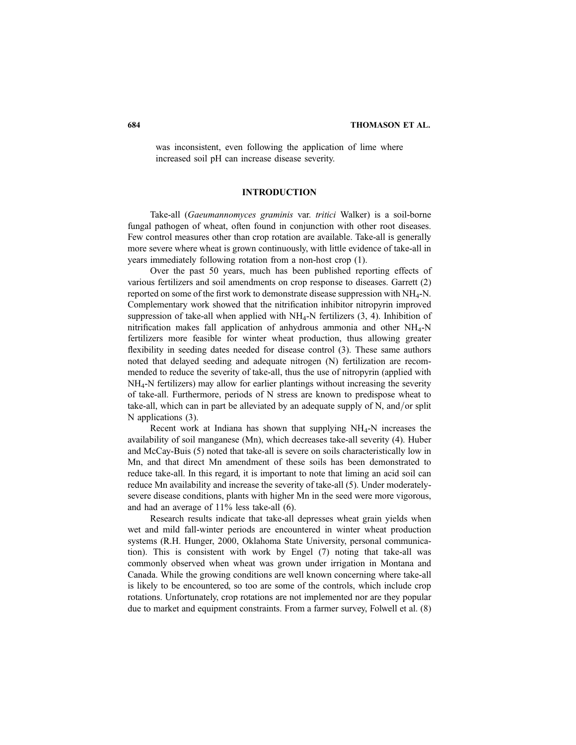was inconsistent, even following the application of lime where increased soil pH can increase disease severity.

# **INTRODUCTION**

Take-all (Gaeumannomyces graminis var. tritici Walker) is a soil-borne fungal pathogen of wheat, often found in conjunction with other root diseases. Few control measures other than crop rotation are available. Take-all is generally more severe where wheat is grown continuously, with little evidence of take-all in years immediately following rotation from a non-host crop (1).

Over the past 50 years, much has been published reporting effects of various fertilizers and soil amendments on crop response to diseases. Garrett (2) reported on some of the first work to demonstrate disease suppression with  $NH_4$ -N. Complementary work showed that the nitrification inhibitor nitropyrin improved suppression of take-all when applied with  $NH<sub>4</sub>-N$  fertilizers (3, 4). Inhibition of nitrification makes fall application of anhydrous ammonia and other  $NH_4$ -N fertilizers more feasible for winter wheat production, thus allowing greater flexibility in seeding dates needed for disease control (3). These same authors noted that delayed seeding and adequate nitrogen (N) fertilization are recommended to reduce the severity of take-all, thus the use of nitropyrin (applied with NH4-N fertilizers) may allow for earlier plantings without increasing the severity of take-all. Furthermore, periods of N stress are known to predispose wheat to take-all, which can in part be alleviated by an adequate supply of N, and/or split N applications (3).

Recent work at Indiana has shown that supplying  $NH<sub>4</sub>-N$  increases the availability of soil manganese (Mn), which decreases take-all severity (4). Huber and McCay-Buis (5) noted that take-all is severe on soils characteristically low in Mn, and that direct Mn amendment of these soils has been demonstrated to reduce take-all. In this regard, it is important to note that liming an acid soil can reduce Mn availability and increase the severity of take-all (5). Under moderatelysevere disease conditions, plants with higher Mn in the seed were more vigorous, and had an average of 11% less take-all (6).

Research results indicate that take-all depresses wheat grain yields when wet and mild fall-winter periods are encountered in winter wheat production systems (R.H. Hunger, 2000, Oklahoma State University, personal communication). This is consistent with work by Engel (7) noting that take-all was commonly observed when wheat was grown under irrigation in Montana and Canada. While the growing conditions are well known concerning where take-all is likely to be encountered, so too are some of the controls, which include crop rotations. Unfortunately, crop rotations are not implemented nor are they popular due to market and equipment constraints. From a farmer survey, Folwell et al. (8)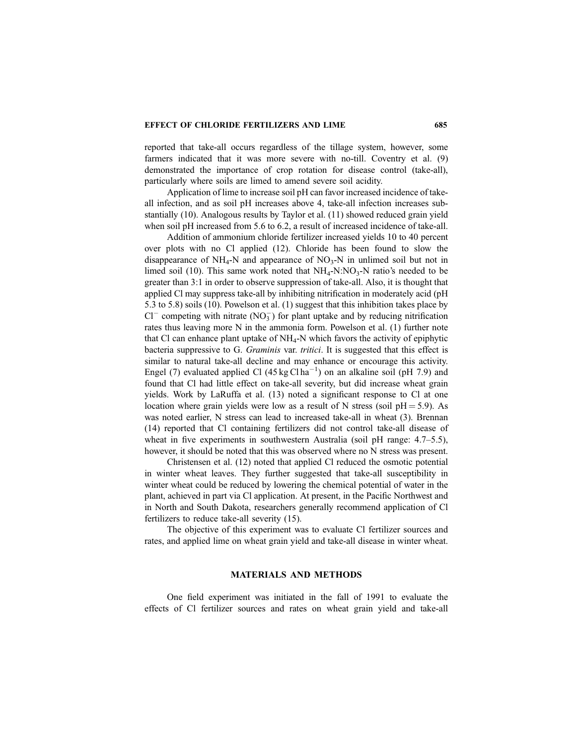## EFFECT OF CHLORIDE FERTILIZERS AND LIME 685

reported that take-all occurs regardless of the tillage system, however, some farmers indicated that it was more severe with no-till. Coventry et al. (9) demonstrated the importance of crop rotation for disease control (take-all), particularly where soils are limed to amend severe soil acidity.

Application of lime to increase soil pH can favor increased incidence of takeall infection, and as soil pH increases above 4, take-all infection increases substantially (10). Analogous results by Taylor et al. (11) showed reduced grain yield when soil pH increased from 5.6 to 6.2, a result of increased incidence of take-all.

Addition of ammonium chloride fertilizer increased yields 10 to 40 percent over plots with no Cl applied (12). Chloride has been found to slow the disappearance of  $NH_4$ -N and appearance of  $NO_3$ -N in unlimed soil but not in limed soil (10). This same work noted that  $NH_4-N:NO_3-N$  ratio's needed to be greater than 3:1 in order to observe suppression of take-all. Also, it is thought that applied Cl may suppress take-all by inhibiting nitrification in moderately acid (pH 5.3 to 5.8) soils (10). Powelson et al. (1) suggest that this inhibition takes place by  $Cl^-$  competing with nitrate (NO<sub>3</sub>) for plant uptake and by reducing nitrification rates thus leaving more N in the ammonia form. Powelson et al. (1) further note that Cl can enhance plant uptake of  $NH_4$ -N which favors the activity of epiphytic bacteria suppressive to G. Graminis var. tritici. It is suggested that this effect is similar to natural take-all decline and may enhance or encourage this activity. Engel (7) evaluated applied Cl  $(45 \text{ kg C1ha}^{-1})$  on an alkaline soil (pH 7.9) and found that Cl had little effect on take-all severity, but did increase wheat grain yields. Work by LaRuffa et al.  $(13)$  noted a significant response to Cl at one location where grain yields were low as a result of N stress (soil  $pH = 5.9$ ). As was noted earlier, N stress can lead to increased take-all in wheat (3). Brennan (14) reported that Cl containing fertilizers did not control take-all disease of wheat in five experiments in southwestern Australia (soil pH range:  $4.7–5.5$ ), however, it should be noted that this was observed where no N stress was present.

Christensen et al. (12) noted that applied Cl reduced the osmotic potential in winter wheat leaves. They further suggested that take-all susceptibility in winter wheat could be reduced by lowering the chemical potential of water in the plant, achieved in part via Cl application. At present, in the Pacific Northwest and in North and South Dakota, researchers generally recommend application of Cl fertilizers to reduce take-all severity (15).

The objective of this experiment was to evaluate Cl fertilizer sources and rates, and applied lime on wheat grain yield and take-all disease in winter wheat.

# MATERIALS AND METHODS

One field experiment was initiated in the fall of 1991 to evaluate the effects of Cl fertilizer sources and rates on wheat grain yield and take-all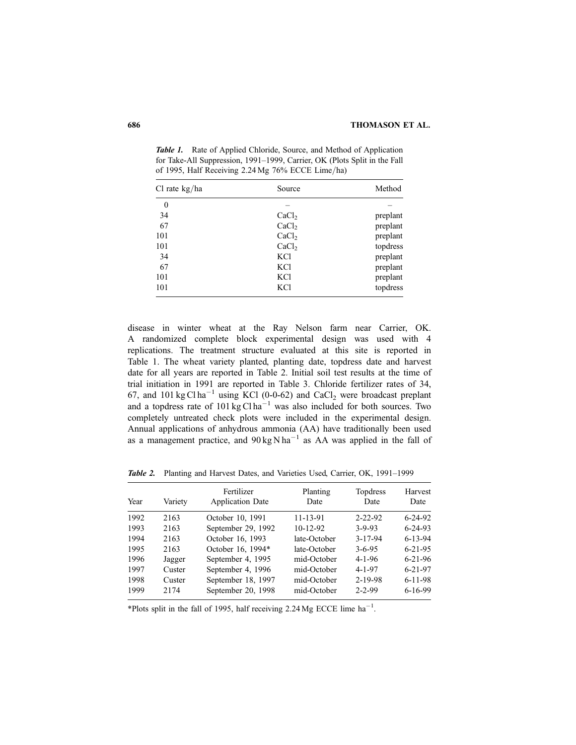| Cl rate kg/ha    | Source            | Method   |
|------------------|-------------------|----------|
| $\boldsymbol{0}$ |                   |          |
| 34               | CaCl <sub>2</sub> | preplant |
| 67               | CaCl <sub>2</sub> | preplant |
| 101              | CaCl <sub>2</sub> | preplant |
| 101              | CaCl <sub>2</sub> | topdress |
| 34               | KCl               | preplant |
| 67               | KCl               | preplant |
| 101              | <b>KCl</b>        | preplant |
| 101              | <b>KCl</b>        | topdress |

Table 1. Rate of Applied Chloride, Source, and Method of Application for Take-All Suppression, 1991-1999, Carrier, OK (Plots Split in the Fall of 1995, Half Receiving  $2.24$  Mg  $76\%$  ECCE Lime/ha)

disease in winter wheat at the Ray Nelson farm near Carrier, OK. A randomized complete block experimental design was used with 4 replications. The treatment structure evaluated at this site is reported in Table 1. The wheat variety planted, planting date, topdress date and harvest date for all years are reported in Table 2. Initial soil test results at the time of trial initiation in 1991 are reported in Table 3. Chloride fertilizer rates of 34, 67, and 101 kg Cl ha<sup>-1</sup> using KCl (0-0-62) and CaCl<sub>2</sub> were broadcast preplant and a topdress rate of  $101 \text{ kg C}$ l ha<sup>-1</sup> was also included for both sources. Two completely untreated check plots were included in the experimental design. Annual applications of anhydrous ammonia (AA) have traditionally been used as a management practice, and  $90 \text{ kg} \text{ N} \text{ ha}^{-1}$  as AA was applied in the fall of

Table 2. Planting and Harvest Dates, and Varieties Used, Carrier, OK, 1991-1999

| Year | Variety | Fertilizer<br><b>Application Date</b> | Planting<br>Date | Topdress<br>Date | Harvest<br>Date |
|------|---------|---------------------------------------|------------------|------------------|-----------------|
| 1992 | 2163    | October 10, 1991                      | 11-13-91         | $2 - 22 - 92$    | $6 - 24 - 92$   |
| 1993 | 2163    | September 29, 1992                    | $10-12-92$       | $3 - 9 - 93$     | $6 - 24 - 93$   |
| 1994 | 2163    | October 16, 1993                      | late-October     | $3 - 17 - 94$    | $6 - 13 - 94$   |
| 1995 | 2163    | October 16, 1994*                     | late-October     | $3 - 6 - 95$     | $6 - 21 - 95$   |
| 1996 | Jagger  | September 4, 1995                     | mid-October      | $4 - 1 - 96$     | $6 - 21 - 96$   |
| 1997 | Custer  | September 4, 1996                     | mid-October      | $4 - 1 - 97$     | $6 - 21 - 97$   |
| 1998 | Custer  | September 18, 1997                    | mid-October      | $2 - 19 - 98$    | $6 - 11 - 98$   |
| 1999 | 2174    | September 20, 1998                    | mid-October      | $2 - 2 - 99$     | $6-16-99$       |

\*Plots split in the fall of 1995, half receiving 2.24 Mg ECCE lime  $ha^{-1}$ .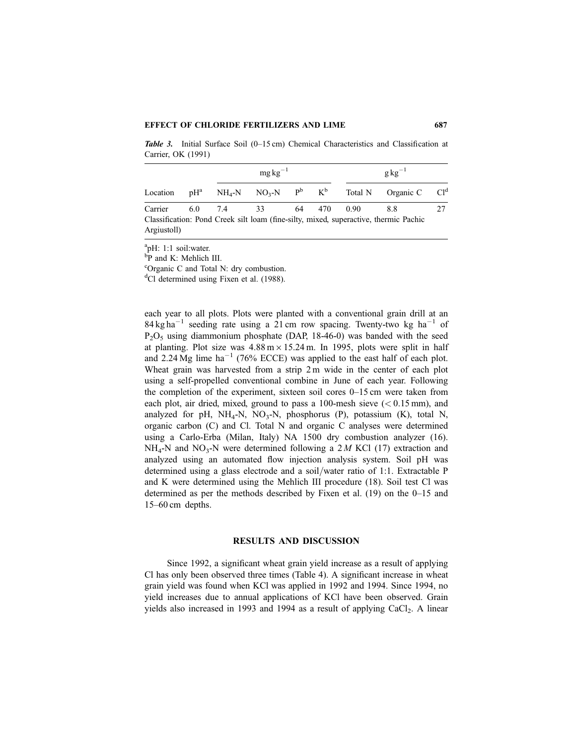#### EFFECT OF CHLORIDE FERTILIZERS AND LIME 687

**Table 3.** Initial Surface Soil  $(0-15 \text{ cm})$  Chemical Characteristics and Classification at Carrier, OK (1991)

|                                                                                      |  |            | $mg \text{kg}^{-1}$ |  | $g\text{kg}^{-1}$ |  |                                                                                                              |    |  |
|--------------------------------------------------------------------------------------|--|------------|---------------------|--|-------------------|--|--------------------------------------------------------------------------------------------------------------|----|--|
| Location                                                                             |  |            |                     |  |                   |  | $pH^a$ NH <sub>4</sub> -N NO <sub>3</sub> -N P <sup>b</sup> K <sup>b</sup> Total N Organic C Cl <sup>d</sup> |    |  |
| Carrier                                                                              |  | 6.0 7.4 33 |                     |  | 64 470 0.90       |  | 8.8                                                                                                          | 27 |  |
| Classification: Pond Creek silt loam (fine-silty, mixed, superactive, thermic Pachic |  |            |                     |  |                   |  |                                                                                                              |    |  |
| Argiustoll)                                                                          |  |            |                     |  |                   |  |                                                                                                              |    |  |

a pH: 1:1 soil:water.

b P and K: Mehlich III.

c Organic C and Total N: dry combustion.

<sup>d</sup>Cl determined using Fixen et al. (1988).

each year to all plots. Plots were planted with a conventional grain drill at an  $84 \text{ kg ha}^{-1}$  seeding rate using a 21 cm row spacing. Twenty-two kg ha<sup>-1</sup> of  $P_2O_5$  using diammonium phosphate (DAP, 18-46-0) was banded with the seed at planting. Plot size was  $4.88 \text{ m} \times 15.24 \text{ m}$ . In 1995, plots were split in half and 2.24 Mg lime  $ha^{-1}$  (76% ECCE) was applied to the east half of each plot. Wheat grain was harvested from a strip 2 m wide in the center of each plot using a self-propelled conventional combine in June of each year. Following the completion of the experiment, sixteen soil cores  $0-15$  cm were taken from each plot, air dried, mixed, ground to pass a 100-mesh sieve  $(< 0.15 \text{ mm})$ , and analyzed for pH,  $NH_4$ -N,  $NO_3$ -N, phosphorus (P), potassium (K), total N, organic carbon (C) and Cl. Total N and organic C analyses were determined using a Carlo-Erba (Milan, Italy) NA 1500 dry combustion analyzer (16).  $NH_4$ -N and  $NO_3$ -N were determined following a 2 M KCl (17) extraction and analyzed using an automated flow injection analysis system. Soil pH was determined using a glass electrode and a soil/water ratio of 1:1. Extractable P and K were determined using the Mehlich III procedure (18). Soil test Cl was determined as per the methods described by Fixen et al.  $(19)$  on the 0–15 and  $15-60$  cm depths.

#### RESULTS AND DISCUSSION

Since 1992, a significant wheat grain yield increase as a result of applying Cl has only been observed three times (Table 4). A significant increase in wheat grain yield was found when KCl was applied in 1992 and 1994. Since 1994, no yield increases due to annual applications of KCl have been observed. Grain yields also increased in 1993 and 1994 as a result of applying  $CaCl<sub>2</sub>$ . A linear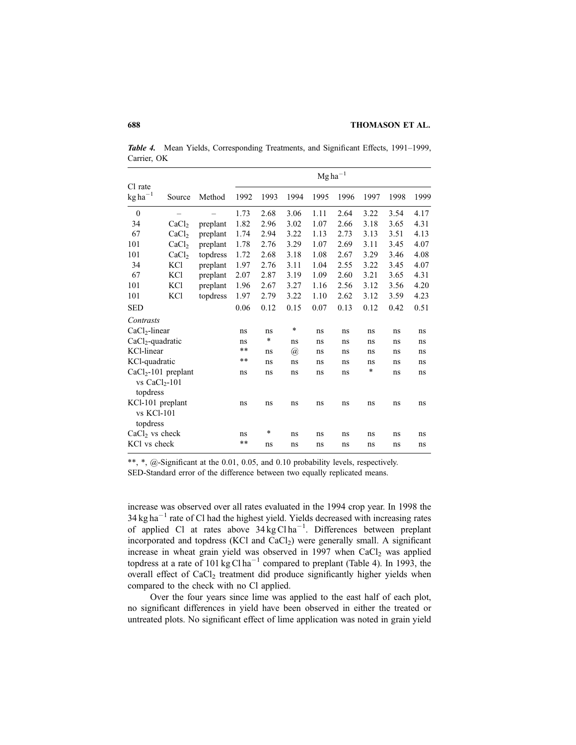Table 4. Mean Yields, Corresponding Treatments, and Significant Effects, 1991-1999, Carrier, OK

|                                |                   |          | $Mgha^{-1}$ |        |                      |      |      |        |      |      |
|--------------------------------|-------------------|----------|-------------|--------|----------------------|------|------|--------|------|------|
| Cl rate<br>$kg ha^{-1}$        | Source            | Method   | 1992        | 1993   | 1994                 | 1995 | 1996 | 1997   | 1998 | 1999 |
| $\overline{0}$                 |                   |          | 1.73        | 2.68   | 3.06                 | 1.11 | 2.64 | 3.22   | 3.54 | 4.17 |
| 34                             | CaCl <sub>2</sub> | preplant | 1.82        | 2.96   | 3.02                 | 1.07 | 2.66 | 3.18   | 3.65 | 4.31 |
| 67                             | CaCl <sub>2</sub> | preplant | 1.74        | 2.94   | 3.22                 | 1.13 | 2.73 | 3.13   | 3.51 | 4.13 |
| 101                            | CaCl <sub>2</sub> | preplant | 1.78        | 2.76   | 3.29                 | 1.07 | 2.69 | 3.11   | 3.45 | 4.07 |
| 101                            | CaCl <sub>2</sub> | topdress | 1.72        | 2.68   | 3.18                 | 1.08 | 2.67 | 3.29   | 3.46 | 4.08 |
| 34                             | KCl               | preplant | 1.97        | 2.76   | 3.11                 | 1.04 | 2.55 | 3.22   | 3.45 | 4.07 |
| 67                             | KCl               | preplant | 2.07        | 2.87   | 3.19                 | 1.09 | 2.60 | 3.21   | 3.65 | 4.31 |
| 101                            | <b>KCl</b>        | preplant | 1.96        | 2.67   | 3.27                 | 1.16 | 2.56 | 3.12   | 3.56 | 4.20 |
| 101                            | KCl               | topdress | 1.97        | 2.79   | 3.22                 | 1.10 | 2.62 | 3.12   | 3.59 | 4.23 |
| <b>SED</b>                     |                   |          | 0.06        | 0.12   | 0.15                 | 0.07 | 0.13 | 0.12   | 0.42 | 0.51 |
| Contrasts                      |                   |          |             |        |                      |      |      |        |      |      |
| $CaCl2$ -linear                |                   | ns       | ns          | *      | ns                   | ns   | ns   | ns     | ns   |      |
| $CaCl2$ -quadratic             |                   |          | ns          | $\ast$ | ns                   | ns   | ns   | ns     | ns   | ns   |
| KCl-linear                     |                   |          | $***$       | ns     | $^{\textregistered}$ | ns   | ns   | ns     | ns   | ns   |
| KCl-quadratic                  |                   |          | $***$       | ns     | ns                   | ns   | ns   | ns     | ns   | ns   |
| $CaCl2$ -101 preplant          |                   |          | ns          | ns     | ns                   | ns   | ns   | $\ast$ | ns   | ns   |
| vs $CaCl2$ -101<br>topdress    |                   |          |             |        |                      |      |      |        |      |      |
| KCl-101 preplant<br>vs KCl-101 |                   | ns       | ns          | ns     | ns                   | ns   | ns   | ns     | ns   |      |
| topdress                       |                   |          |             |        |                      |      |      |        |      |      |
| $CaCl2$ vs check               |                   |          | ns          | *      | ns                   | ns   | ns   | ns     | ns   | ns   |
| KCl vs check                   |                   |          | **          | ns     | ns                   | ns   | ns   | ns     | ns   | ns   |

\*\*, \*,  $@$ -Significant at the 0.01, 0.05, and 0.10 probability levels, respectively. SED-Standard error of the difference between two equally replicated means.

increase was observed over all rates evaluated in the 1994 crop year. In 1998 the  $34 \text{ kg ha}^{-1}$  rate of Cl had the highest yield. Yields decreased with increasing rates of applied Cl at rates above  $34 \text{ kg} \text{C} \text{ln} \text{a}^{-1}$ . Differences between preplant incorporated and topdress (KCl and  $CaCl<sub>2</sub>$ ) were generally small. A significant increase in wheat grain yield was observed in  $1997$  when  $CaCl<sub>2</sub>$  was applied topdress at a rate of 101 kg Cl ha<sup>-1</sup> compared to preplant (Table 4). In 1993, the overall effect of CaCl<sub>2</sub> treatment did produce significantly higher yields when compared to the check with no Cl applied.

Over the four years since lime was applied to the east half of each plot, no significant differences in yield have been observed in either the treated or untreated plots. No significant effect of lime application was noted in grain yield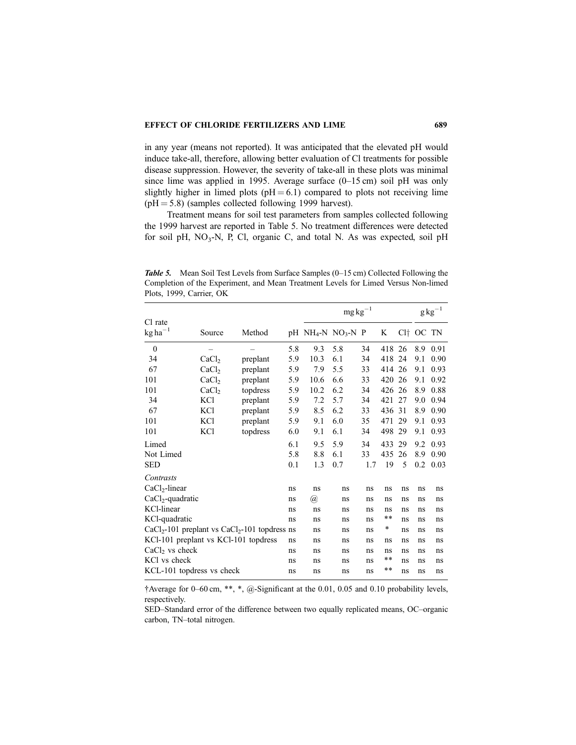in any year (means not reported). It was anticipated that the elevated pH would induce take-all, therefore, allowing better evaluation of Cl treatments for possible disease suppression. However, the severity of take-all in these plots was minimal since lime was applied in 1995. Average surface  $(0-15 \text{ cm})$  soil pH was only slightly higher in limed plots ( $pH = 6.1$ ) compared to plots not receiving lime  $(pH = 5.8)$  (samples collected following 1999 harvest).

Treatment means for soil test parameters from samples collected following the 1999 harvest are reported in Table 5. No treatment differences were detected for soil pH,  $NO<sub>3</sub>-N$ , P, Cl, organic C, and total N. As was expected, soil pH

Table 5. Mean Soil Test Levels from Surface Samples (0-15 cm) Collected Following the Completion of the Experiment, and Mean Treatment Levels for Limed Versus Non-limed Plots, 1999, Carrier, OK

|                                                   |                   |          |     | $mg\,kg^{-1}$                                |     |     |            |    | $\rm g\,kg^{-1}$ |      |
|---------------------------------------------------|-------------------|----------|-----|----------------------------------------------|-----|-----|------------|----|------------------|------|
| Cl rate<br>$kg$ ha <sup>-1</sup>                  | Source            | Method   |     | $pH$ NH <sub>4</sub> -N NO <sub>3</sub> -N P |     |     | K          |    | $Cl+OC$          | TN   |
| $\theta$                                          |                   |          | 5.8 | 9.3                                          | 5.8 | 34  | 418        | 26 | 8.9              | 0.91 |
| 34                                                | CaCl <sub>2</sub> | preplant | 5.9 | 10.3                                         | 6.1 | 34  | 418        | 24 | 9.1              | 0.90 |
| 67                                                | CaCl <sub>2</sub> | preplant | 5.9 | 7.9                                          | 5.5 | 33  | 414        | 26 | 9.1              | 0.93 |
| 101                                               | CaCl <sub>2</sub> | preplant | 5.9 | 10.6                                         | 6.6 | 33  | 420        | 26 | 9.1              | 0.92 |
| 101                                               | CaCl <sub>2</sub> | topdress | 5.9 | 10.2                                         | 6.2 | 34  | 426        | 26 | 8.9              | 0.88 |
| 34                                                | KCl               | preplant | 5.9 | 7.2                                          | 5.7 | 34  | 421        | 27 | 9.0              | 0.94 |
| 67                                                | <b>KCl</b>        | preplant | 5.9 | 8.5                                          | 6.2 | 33  | 436        | 31 | 8.9              | 0.90 |
| 101                                               | <b>KCl</b>        | preplant | 5.9 | 9.1                                          | 6.0 | 35  | 471        | 29 | 9.1              | 0.93 |
| 101                                               | <b>KCl</b>        | topdress | 6.0 | 9.1                                          | 6.1 | 34  | 498        | 29 | 9.1              | 0.93 |
| Limed                                             |                   |          | 6.1 | 9.5                                          | 5.9 | 34  | 433        | 29 | 9.2              | 0.93 |
| Not Limed                                         |                   |          | 5.8 | 8.8                                          | 6.1 | 33  | 435        | 26 | 8.9              | 0.90 |
| <b>SED</b>                                        |                   |          | 0.1 | 1.3                                          | 0.7 | 1.7 | 19         | 5  | 0.2              | 0.03 |
| Contrasts                                         |                   |          |     |                                              |     |     |            |    |                  |      |
| $CaCl2$ -linear                                   |                   |          | ns  | ns                                           | ns  | ns  | ns         | ns | ns               | ns   |
| $CaCl2$ -quadratic                                |                   |          | ns  | $^{\textregistered}$                         | ns  | ns  | ns         | ns | ns               | ns   |
| KCl-linear                                        |                   |          | ns  | ns                                           | ns  | ns  | ns         | ns | ns               | ns   |
| KCl-quadratic                                     |                   |          |     | ns                                           | ns  | ns  | $\ast\ast$ | ns | ns               | ns   |
| $CaCl2$ -101 preplant vs $CaCl2$ -101 topdress ns |                   |          |     | ns                                           | ns  | ns  | $\ast$     | ns | ns               | ns   |
| KCl-101 preplant vs KCl-101 topdress              |                   |          | ns  | ns                                           | ns  | ns  | ns         | ns | ns               | ns   |
| $CaCl2$ vs check                                  |                   |          | ns  | ns                                           | ns  | ns  | ns         | ns | ns               | ns   |
| KCl vs check                                      |                   |          | ns  | ns                                           | ns  | ns  | $\ast\ast$ | ns | ns               | ns   |
| KCL-101 topdress vs check                         |                   |          | ns  | ns                                           | ns  | ns  | **         | ns | ns               | ns   |

 $\dagger$ Average for 0-60 cm, \*\*, \*, @-Significant at the 0.01, 0.05 and 0.10 probability levels, respectively.

SED-Standard error of the difference between two equally replicated means, OC-organic carbon, TN-total nitrogen.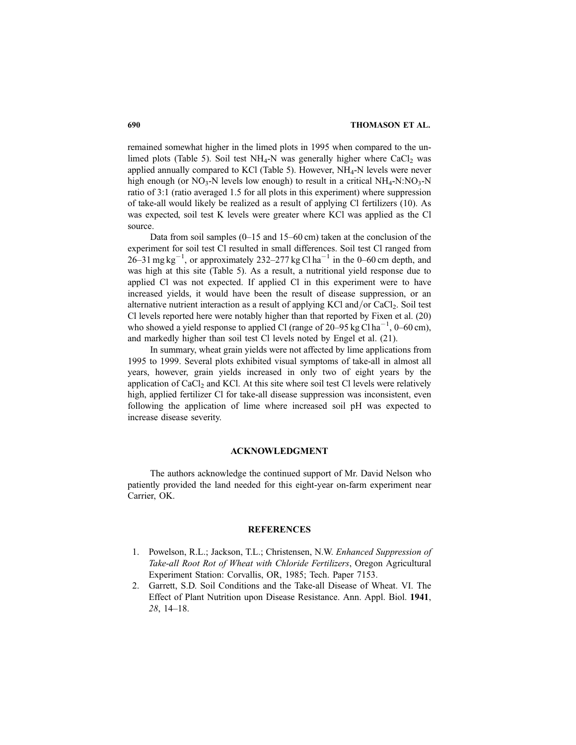remained somewhat higher in the limed plots in 1995 when compared to the unlimed plots (Table 5). Soil test  $NH_4$ -N was generally higher where  $CaCl_2$  was applied annually compared to KCl (Table 5). However,  $NH_4$ -N levels were never high enough (or  $NO_3$ -N levels low enough) to result in a critical  $NH_4$ -N:NO<sub>3</sub>-N ratio of 3:1 (ratio averaged 1.5 for all plots in this experiment) where suppression of take-all would likely be realized as a result of applying Cl fertilizers (10). As was expected, soil test K levels were greater where KCl was applied as the Cl source.

Data from soil samples  $(0-15$  and  $15-60$  cm) taken at the conclusion of the experiment for soil test Cl resulted in small differences. Soil test Cl ranged from 26–31 mg kg<sup>-1</sup>, or approximately 232–277 kg Cl ha<sup>-1</sup> in the 0–60 cm depth, and was high at this site (Table 5). As a result, a nutritional yield response due to applied Cl was not expected. If applied Cl in this experiment were to have increased yields, it would have been the result of disease suppression, or an alternative nutrient interaction as a result of applying KCl and/or CaCl<sub>2</sub>. Soil test Cl levels reported here were notably higher than that reported by Fixen et al. (20) who showed a yield response to applied Cl (range of  $20-95$  kg Cl ha<sup>-1</sup>, 0-60 cm), and markedly higher than soil test Cl levels noted by Engel et al. (21).

In summary, wheat grain yields were not affected by lime applications from 1995 to 1999. Several plots exhibited visual symptoms of take-all in almost all years, however, grain yields increased in only two of eight years by the application of  $CaCl<sub>2</sub>$  and KCl. At this site where soil test Cl levels were relatively high, applied fertilizer Cl for take-all disease suppression was inconsistent, even following the application of lime where increased soil pH was expected to increase disease severity.

### ACKNOWLEDGMENT

The authors acknowledge the continued support of Mr. David Nelson who patiently provided the land needed for this eight-year on-farm experiment near Carrier, OK.

#### **REFERENCES**

- 1. Powelson, R.L.; Jackson, T.L.; Christensen, N.W. Enhanced Suppression of Take-all Root Rot of Wheat with Chloride Fertilizers, Oregon Agricultural Experiment Station: Corvallis, OR, 1985; Tech. Paper 7153.
- 2. Garrett, S.D. Soil Conditions and the Take-all Disease of Wheat. VI. The Effect of Plant Nutrition upon Disease Resistance. Ann. Appl. Biol. 1941,  $28, 14-18.$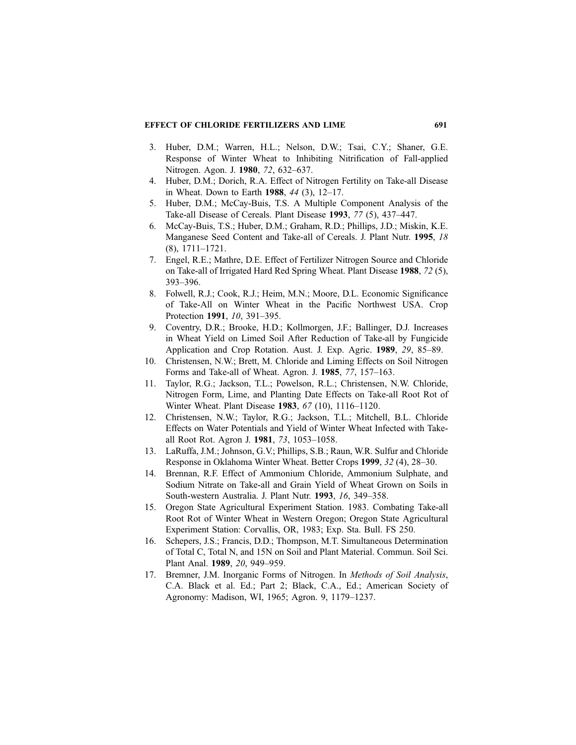## EFFECT OF CHLORIDE FERTILIZERS AND LIME 691

- 3. Huber, D.M.; Warren, H.L.; Nelson, D.W.; Tsai, C.Y.; Shaner, G.E. Response of Winter Wheat to Inhibiting Nitrification of Fall-applied Nitrogen. Agon. J. 1980, 72, 632-637.
- 4. Huber, D.M.; Dorich, R.A. Effect of Nitrogen Fertility on Take-all Disease in Wheat. Down to Earth 1988,  $44$  (3), 12–17.
- 5. Huber, D.M.; McCay-Buis, T.S. A Multiple Component Analysis of the Take-all Disease of Cereals. Plant Disease 1993, 77 (5), 437–447.
- 6. McCay-Buis, T.S.; Huber, D.M.; Graham, R.D.; Phillips, J.D.; Miskin, K.E. Manganese Seed Content and Take-all of Cereals. J. Plant Nutr. 1995, 18  $(8), 1711 - 1721.$
- 7. Engel, R.E.; Mathre, D.E. Effect of Fertilizer Nitrogen Source and Chloride on Take-all of Irrigated Hard Red Spring Wheat. Plant Disease 1988, 72 (5), 393±396.
- 8. Folwell, R.J.; Cook, R.J.; Heim, M.N.; Moore, D.L. Economic Significance of Take-All on Winter Wheat in the Pacific Northwest USA. Crop Protection 1991, 10, 391-395.
- 9. Coventry, D.R.; Brooke, H.D.; Kollmorgen, J.F.; Ballinger, D.J. Increases in Wheat Yield on Limed Soil After Reduction of Take-all by Fungicide Application and Crop Rotation. Aust. J. Exp. Agric. 1989, 29, 85–89.
- 10. Christensen, N.W.; Brett, M. Chloride and Liming Effects on Soil Nitrogen Forms and Take-all of Wheat. Agron. J.  $1985$ ,  $77$ ,  $157-163$ .
- 11. Taylor, R.G.; Jackson, T.L.; Powelson, R.L.; Christensen, N.W. Chloride, Nitrogen Form, Lime, and Planting Date Effects on Take-all Root Rot of Winter Wheat. Plant Disease 1983, 67 (10), 1116-1120.
- 12. Christensen, N.W.; Taylor, R.G.; Jackson, T.L.; Mitchell, B.L. Chloride Effects on Water Potentials and Yield of Winter Wheat Infected with Takeall Root Rot. Agron J. 1981, 73, 1053-1058.
- 13. LaRuffa, J.M.; Johnson, G.V.; Phillips, S.B.; Raun, W.R. Sulfur and Chloride Response in Oklahoma Winter Wheat. Better Crops 1999, 32 (4), 28–30.
- 14. Brennan, R.F. Effect of Ammonium Chloride, Ammonium Sulphate, and Sodium Nitrate on Take-all and Grain Yield of Wheat Grown on Soils in South-western Australia. J. Plant Nutr. 1993, 16, 349-358.
- 15. Oregon State Agricultural Experiment Station. 1983. Combating Take-all Root Rot of Winter Wheat in Western Oregon; Oregon State Agricultural Experiment Station: Corvallis, OR, 1983; Exp. Sta. Bull. FS 250.
- 16. Schepers, J.S.; Francis, D.D.; Thompson, M.T. Simultaneous Determination of Total C, Total N, and 15N on Soil and Plant Material. Commun. Soil Sci. Plant Anal. 1989, 20, 949-959.
- 17. Bremner, J.M. Inorganic Forms of Nitrogen. In Methods of Soil Analysis, C.A. Black et al. Ed.; Part 2; Black, C.A., Ed.; American Society of Agronomy: Madison, WI, 1965; Agron. 9, 1179-1237.